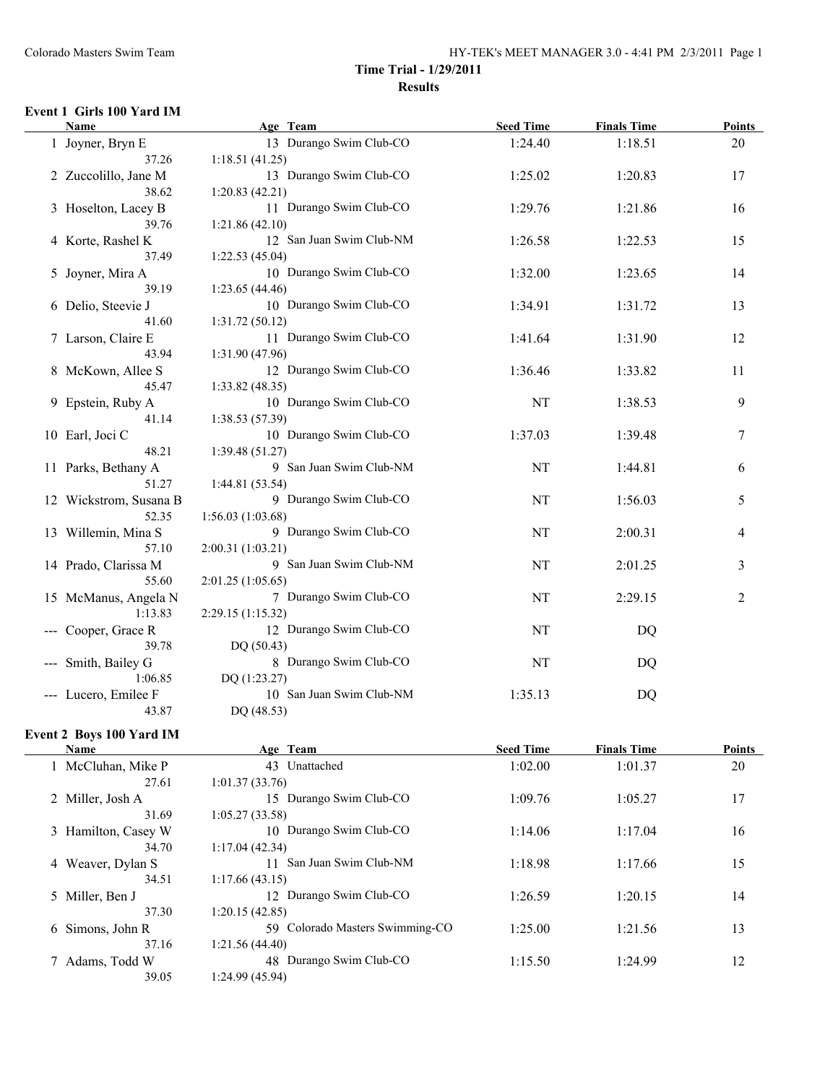#### **Event 1 Girls 100 Yard IM**

| <b>Name</b>                     | Age Team                                     | <b>Seed Time</b> | <b>Finals Time</b> | <b>Points</b> |
|---------------------------------|----------------------------------------------|------------------|--------------------|---------------|
| 1 Joyner, Bryn E                | 13 Durango Swim Club-CO                      | 1:24.40          | 1:18.51            | 20            |
| 37.26                           | 1:18.51(41.25)                               |                  |                    |               |
| 2 Zuccolillo, Jane M            | 13 Durango Swim Club-CO                      | 1:25.02          | 1:20.83            | 17            |
| 38.62                           | 1:20.83(42.21)                               |                  |                    |               |
| 3 Hoselton, Lacey B             | 11 Durango Swim Club-CO                      | 1:29.76          | 1:21.86            | 16            |
| 39.76                           | 1:21.86(42.10)                               |                  |                    |               |
| 4 Korte, Rashel K               | 12 San Juan Swim Club-NM                     | 1:26.58          | 1:22.53            | 15            |
| 37.49                           | 1:22.53(45.04)                               |                  |                    |               |
| 5 Joyner, Mira A                | 10 Durango Swim Club-CO                      | 1:32.00          | 1:23.65            | 14            |
| 39.19                           | 1:23.65(44.46)                               |                  |                    |               |
| 6 Delio, Steevie J              | 10 Durango Swim Club-CO                      | 1:34.91          | 1:31.72            | 13            |
| 41.60                           | 1:31.72(50.12)                               |                  |                    |               |
| 7 Larson, Claire E              | 11 Durango Swim Club-CO                      | 1:41.64          | 1:31.90            | 12            |
| 43.94                           | 1:31.90 (47.96)                              |                  |                    |               |
| 8 McKown, Allee S               | 12 Durango Swim Club-CO                      | 1:36.46          | 1:33.82            | 11            |
| 45.47                           | 1:33.82(48.35)                               |                  |                    |               |
| 9 Epstein, Ruby A               | 10 Durango Swim Club-CO                      | NT               | 1:38.53            | 9             |
| 41.14                           | 1:38.53 (57.39)                              |                  |                    |               |
| 10 Earl, Joci C                 | 10 Durango Swim Club-CO                      | 1:37.03          | 1:39.48            | 7             |
| 48.21                           | 1:39.48(51.27)                               |                  |                    |               |
| 11 Parks, Bethany A             | 9 San Juan Swim Club-NM                      | NT               | 1:44.81            | 6             |
| 51.27                           | 1:44.81(53.54)                               |                  |                    |               |
| 12 Wickstrom, Susana B          | 9 Durango Swim Club-CO                       | NT               | 1:56.03            | 5             |
| 52.35                           | 1:56.03(1:03.68)                             |                  |                    |               |
| 13 Willemin, Mina S             | 9 Durango Swim Club-CO                       | NT               | 2:00.31            | 4             |
| 57.10                           | 2:00.31 (1:03.21)                            |                  |                    |               |
| 14 Prado, Clarissa M            | 9 San Juan Swim Club-NM                      | NT               | 2:01.25            | 3             |
| 55.60                           | 2:01.25(1:05.65)                             |                  |                    |               |
| 15 McManus, Angela N<br>1:13.83 | 7 Durango Swim Club-CO                       | NT               | 2:29.15            | 2             |
|                                 | 2:29.15 (1:15.32)<br>12 Durango Swim Club-CO | NT               |                    |               |
| --- Cooper, Grace R<br>39.78    | DQ(50.43)                                    |                  | DQ                 |               |
|                                 | 8 Durango Swim Club-CO                       | NT               |                    |               |
| --- Smith, Bailey G<br>1:06.85  | DQ (1:23.27)                                 |                  | DQ                 |               |
| --- Lucero, Emilee F            | 10 San Juan Swim Club-NM                     | 1:35.13          | DQ                 |               |
| 43.87                           | DQ (48.53)                                   |                  |                    |               |
|                                 |                                              |                  |                    |               |

### **Event 2 Boys 100 Yard IM**

| <b>Name</b>         | Age Team                        | <b>Seed Time</b> | <b>Finals Time</b> | <b>Points</b> |
|---------------------|---------------------------------|------------------|--------------------|---------------|
| 1 McCluhan, Mike P  | 43 Unattached                   | 1:02.00          | 1:01.37            | 20            |
| 27.61               | 1:01.37(33.76)                  |                  |                    |               |
| 2 Miller, Josh A    | 15 Durango Swim Club-CO         | 1:09.76          | 1:05.27            | 17            |
| 31.69               | 1:05.27(33.58)                  |                  |                    |               |
| 3 Hamilton, Casey W | 10 Durango Swim Club-CO         | 1:14.06          | 1:17.04            | 16            |
| 34.70               | 1:17.04(42.34)                  |                  |                    |               |
| 4 Weaver, Dylan S   | San Juan Swim Club-NM<br>11     | 1:18.98          | 1:17.66            | 15            |
| 34.51               | 1:17.66(43.15)                  |                  |                    |               |
| 5 Miller, Ben J     | 12 Durango Swim Club-CO         | 1:26.59          | 1:20.15            | 14            |
| 37.30               | 1:20.15(42.85)                  |                  |                    |               |
| 6 Simons, John R    | 59 Colorado Masters Swimming-CO | 1:25.00          | 1:21.56            | 13            |
| 37.16               | 1:21.56(44.40)                  |                  |                    |               |
| 7 Adams, Todd W     | 48 Durango Swim Club-CO         | 1:15.50          | 1:24.99            | 12            |
| 39.05               | 1:24.99(45.94)                  |                  |                    |               |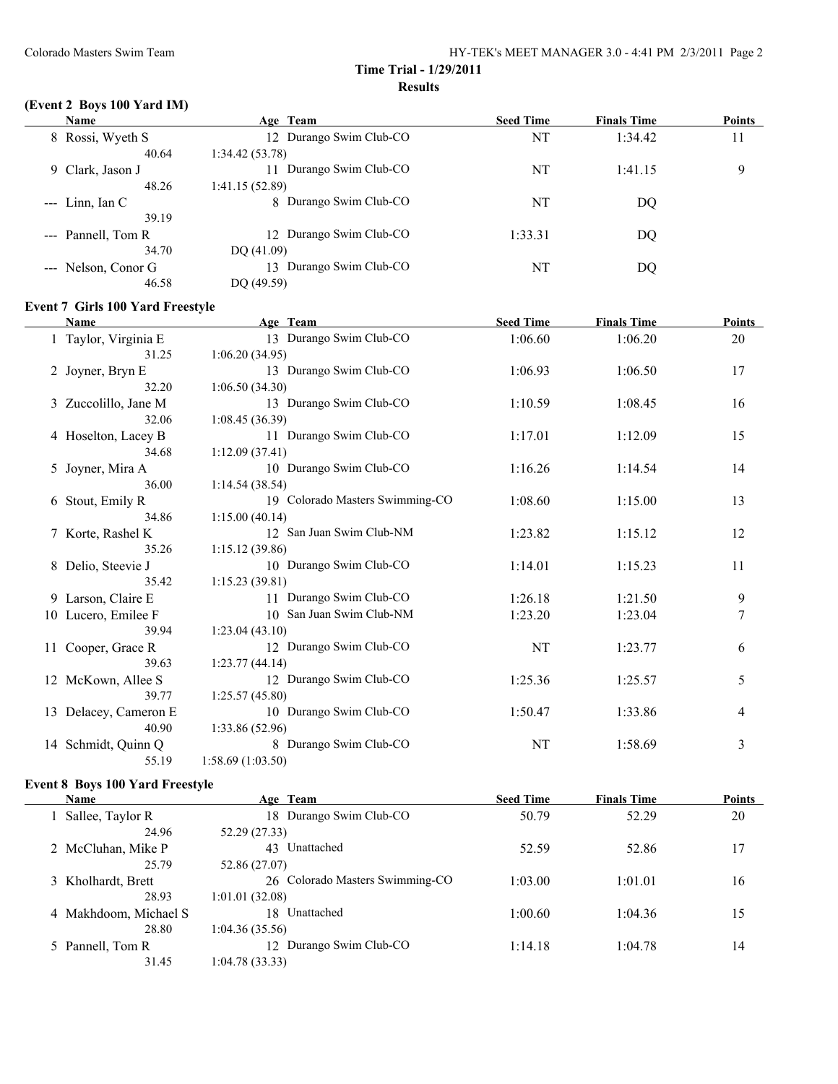# **(Event 2 Boys 100 Yard IM)**

| <b>Name</b>         | Age Team                   | <b>Seed Time</b> | <b>Finals Time</b> | <b>Points</b> |
|---------------------|----------------------------|------------------|--------------------|---------------|
| 8 Rossi, Wyeth S    | 12 Durango Swim Club-CO    | NT               | 1:34.42            | 11            |
| 40.64               | 1:34.42(53.78)             |                  |                    |               |
| 9 Clark, Jason J    | Durango Swim Club-CO<br>11 | NT               | 1:41.15            | 9             |
| 48.26               | 1:41.15(52.89)             |                  |                    |               |
| $-$ Linn, Ian C     | 8 Durango Swim Club-CO     | NT               | DO                 |               |
| 39.19               |                            |                  |                    |               |
| --- Pannell, Tom R  | 12 Durango Swim Club-CO    | 1:33.31          | DO                 |               |
| 34.70               | DQ(41.09)                  |                  |                    |               |
| --- Nelson, Conor G | Durango Swim Club-CO<br>13 | NT               | DQ                 |               |
| 46.58               | DO (49.59)                 |                  |                    |               |

#### **Event 7 Girls 100 Yard Freestyle**

 $\frac{1}{2}$ 

| <b>Name</b>           | Age Team                        | <b>Seed Time</b> | <b>Finals Time</b> | <b>Points</b>  |
|-----------------------|---------------------------------|------------------|--------------------|----------------|
| 1 Taylor, Virginia E  | 13 Durango Swim Club-CO         | 1:06.60          | 1:06.20            | 20             |
| 31.25                 | 1:06.20(34.95)                  |                  |                    |                |
| 2 Joyner, Bryn E      | 13 Durango Swim Club-CO         | 1:06.93          | 1:06.50            | 17             |
| 32.20                 | 1:06.50(34.30)                  |                  |                    |                |
| 3 Zuccolillo, Jane M  | 13 Durango Swim Club-CO         | 1:10.59          | 1:08.45            | 16             |
| 32.06                 | 1:08.45(36.39)                  |                  |                    |                |
| 4 Hoselton, Lacey B   | 11 Durango Swim Club-CO         | 1:17.01          | 1:12.09            | 15             |
| 34.68                 | 1:12.09(37.41)                  |                  |                    |                |
| 5 Joyner, Mira A      | 10 Durango Swim Club-CO         | 1:16.26          | 1:14.54            | 14             |
| 36.00                 | 1:14.54(38.54)                  |                  |                    |                |
| 6 Stout, Emily R      | 19 Colorado Masters Swimming-CO | 1:08.60          | 1:15.00            | 13             |
| 34.86                 | 1:15.00(40.14)                  |                  |                    |                |
| 7 Korte, Rashel K     | 12 San Juan Swim Club-NM        | 1:23.82          | 1:15.12            | 12             |
| 35.26                 | 1:15.12(39.86)                  |                  |                    |                |
| 8 Delio, Steevie J    | 10 Durango Swim Club-CO         | 1:14.01          | 1:15.23            | 11             |
| 35.42                 | 1:15.23(39.81)                  |                  |                    |                |
| 9 Larson, Claire E    | 11 Durango Swim Club-CO         | 1:26.18          | 1:21.50            | 9              |
| 10 Lucero, Emilee F   | 10 San Juan Swim Club-NM        | 1:23.20          | 1:23.04            | $\overline{7}$ |
| 39.94                 | 1:23.04(43.10)                  |                  |                    |                |
| 11 Cooper, Grace R    | 12 Durango Swim Club-CO         | NT               | 1:23.77            | 6              |
| 39.63                 | 1:23.77(44.14)                  |                  |                    |                |
| 12 McKown, Allee S    | 12 Durango Swim Club-CO         | 1:25.36          | 1:25.57            | 5              |
| 39.77                 | 1:25.57(45.80)                  |                  |                    |                |
| 13 Delacey, Cameron E | 10 Durango Swim Club-CO         | 1:50.47          | 1:33.86            | 4              |
| 40.90                 | 1:33.86(52.96)                  |                  |                    |                |
| 14 Schmidt, Quinn Q   | 8 Durango Swim Club-CO          | NT               | 1:58.69            | 3              |
| 55.19                 | 1:58.69(1:03.50)                |                  |                    |                |

### **Event 8 Boys 100 Yard Freestyle**

| Name                  | Age Team                        | <b>Seed Time</b> | <b>Finals Time</b> | <b>Points</b> |
|-----------------------|---------------------------------|------------------|--------------------|---------------|
| Sallee, Taylor R      | 18 Durango Swim Club-CO         | 50.79            | 52.29              | 20            |
| 24.96                 | 52.29 (27.33)                   |                  |                    |               |
| 2 McCluhan, Mike P    | 43 Unattached                   | 52.59            | 52.86              | 17            |
| 25.79                 | 52.86 (27.07)                   |                  |                    |               |
| 3 Kholhardt, Brett    | 26 Colorado Masters Swimming-CO | 1:03.00          | 1:01.01            | 16            |
| 28.93                 | 1:01.01(32.08)                  |                  |                    |               |
| 4 Makhdoom, Michael S | 18 Unattached                   | 1:00.60          | 1:04.36            | 15            |
| 28.80                 | 1:04.36(35.56)                  |                  |                    |               |
| 5 Pannell, Tom R      | Durango Swim Club-CO<br>12.     | 1:14.18          | 1:04.78            | 14            |
| 31.45                 | 1:04.78(33.33)                  |                  |                    |               |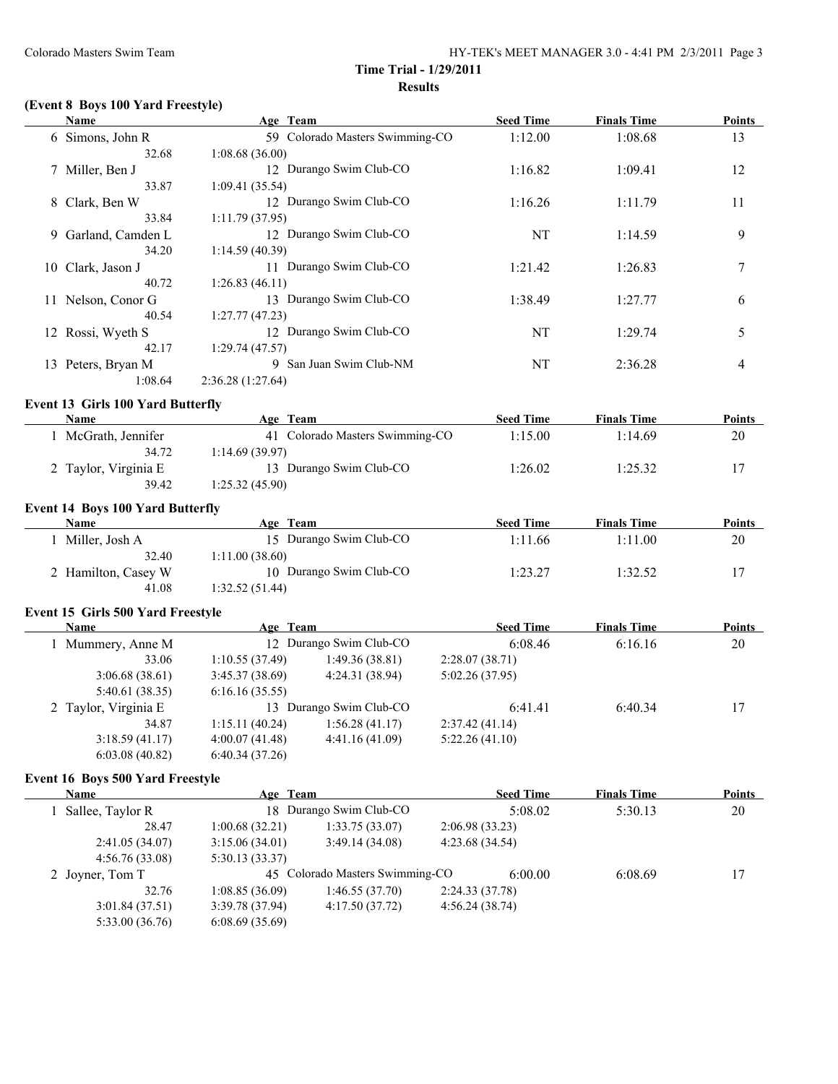# **(Event 8 Boys 100 Yard Freestyle)**

| Name                                     | Age Team          |                                 | <b>Seed Time</b> | <b>Finals Time</b> | <b>Points</b> |
|------------------------------------------|-------------------|---------------------------------|------------------|--------------------|---------------|
| 6 Simons, John R                         |                   | 59 Colorado Masters Swimming-CO | 1:12.00          | 1:08.68            | 13            |
| 32.68                                    | 1:08.68(36.00)    |                                 |                  |                    |               |
| 7 Miller, Ben J                          |                   | 12 Durango Swim Club-CO         | 1:16.82          | 1:09.41            | 12            |
| 33.87                                    | 1:09.41(35.54)    |                                 |                  |                    |               |
| 8 Clark, Ben W                           |                   | 12 Durango Swim Club-CO         | 1:16.26          | 1:11.79            | 11            |
| 33.84                                    | 1:11.79(37.95)    |                                 |                  |                    |               |
| 9 Garland, Camden L                      |                   | 12 Durango Swim Club-CO         | <b>NT</b>        | 1:14.59            | 9             |
| 34.20                                    | 1:14.59(40.39)    |                                 |                  |                    |               |
| 10 Clark, Jason J                        |                   | 11 Durango Swim Club-CO         | 1:21.42          | 1:26.83            | 7             |
| 40.72                                    | 1:26.83(46.11)    |                                 |                  |                    |               |
| 11 Nelson, Conor G                       |                   | 13 Durango Swim Club-CO         | 1:38.49          | 1:27.77            | 6             |
| 40.54                                    | 1:27.77(47.23)    |                                 |                  |                    |               |
| 12 Rossi, Wyeth S                        |                   | 12 Durango Swim Club-CO         | <b>NT</b>        | 1:29.74            | 5             |
| 42.17                                    | 1:29.74(47.57)    |                                 |                  |                    |               |
| 13 Peters, Bryan M                       |                   | 9 San Juan Swim Club-NM         | NT               | 2:36.28            | 4             |
| 1:08.64                                  | 2:36.28 (1:27.64) |                                 |                  |                    |               |
| <b>Event 13 Girls 100 Yard Butterfly</b> |                   |                                 |                  |                    |               |
| Name                                     | Age Team          |                                 | <b>Seed Time</b> | <b>Finals Time</b> | Points        |
| 1 McGrath, Jennifer                      |                   | 41 Colorado Masters Swimming-CO | 1:15.00          | 1:14.69            | 20            |
| 34.72                                    | 1:14.69(39.97)    |                                 |                  |                    |               |
| 2 Taylor, Virginia E                     |                   | 13 Durango Swim Club-CO         | 1:26.02          | 1:25.32            | 17            |
| 39.42                                    | 1:25.32(45.90)    |                                 |                  |                    |               |
| <b>Event 14 Boys 100 Yard Butterfly</b>  |                   |                                 |                  |                    |               |
| Name                                     | Age Team          |                                 | <b>Seed Time</b> | <b>Finals Time</b> | Points        |
| 1 Miller, Josh A                         |                   | 15 Durango Swim Club-CO         | 1:11.66          | 1:11.00            | 20            |
| 32.40                                    | 1:11.00(38.60)    |                                 |                  |                    |               |
| 2 Hamilton, Casey W                      |                   | 10 Durango Swim Club-CO         | 1:23.27          | 1:32.52            | 17            |
| 41.08                                    | 1:32.52 (51.44)   |                                 |                  |                    |               |
|                                          |                   |                                 |                  |                    |               |
| Event 15 Girls 500 Yard Freestyle        |                   |                                 |                  |                    |               |
| Name                                     | Age Team          |                                 | <b>Seed Time</b> | <b>Finals Time</b> | <b>Points</b> |
| 1 Mummery, Anne M                        |                   | 12 Durango Swim Club-CO         | 6:08.46          | 6:16.16            | $20\,$        |
| 33.06                                    | 1:10.55(37.49)    | 1:49.36(38.81)                  | 2:28.07(38.71)   |                    |               |
| 3:06.68(38.61)                           | 3:45.37(38.69)    | 4:24.31 (38.94)                 | 5:02.26 (37.95)  |                    |               |
| 5:40.61(38.35)                           | 6:16.16(35.55)    |                                 |                  |                    |               |
| 2 Taylor, Virginia E                     |                   | 13 Durango Swim Club-CO         | 6:41.41          | 6:40.34            | 17            |
| 34.87                                    | 1:15.11(40.24)    | 1:56.28(41.17)                  | 2:37.42(41.14)   |                    |               |
| 3:18.59(41.17)                           | 4:00.07(41.48)    | 4:41.16(41.09)                  | 5:22.26(41.10)   |                    |               |

#### **Event 16 Boys 500 Yard Freestyle**

6:03.08 (40.82) 6:40.34 (37.26)

| <b>Name</b>        | Age Team       |                                 |                | <b>Seed Time</b> | <b>Finals Time</b> | <b>Points</b> |
|--------------------|----------------|---------------------------------|----------------|------------------|--------------------|---------------|
| 1 Sallee, Taylor R |                | 18 Durango Swim Club-CO         |                | 5:08.02          | 5:30.13            | 20            |
| 28.47              | 1:00.68(32.21) | 1:33.75(33.07)                  | 2:06.98(33.23) |                  |                    |               |
| 2:41.05(34.07)     | 3:15.06(34.01) | 3:49.14(34.08)                  | 4:23.68(34.54) |                  |                    |               |
| 4:56.76(33.08)     | 5:30.13(33.37) |                                 |                |                  |                    |               |
| 2 Joyner, Tom T    |                | 45 Colorado Masters Swimming-CO |                | 6:00.00          | 6:08.69            | 17            |
| 32.76              | 1:08.85(36.09) | 1:46.55(37.70)                  | 2:24.33(37.78) |                  |                    |               |
| 3:01.84(37.51)     | 3:39.78(37.94) | 4:17.50(37.72)                  | 4:56.24(38.74) |                  |                    |               |
| 5:33.00(36.76)     | 6:08.69(35.69) |                                 |                |                  |                    |               |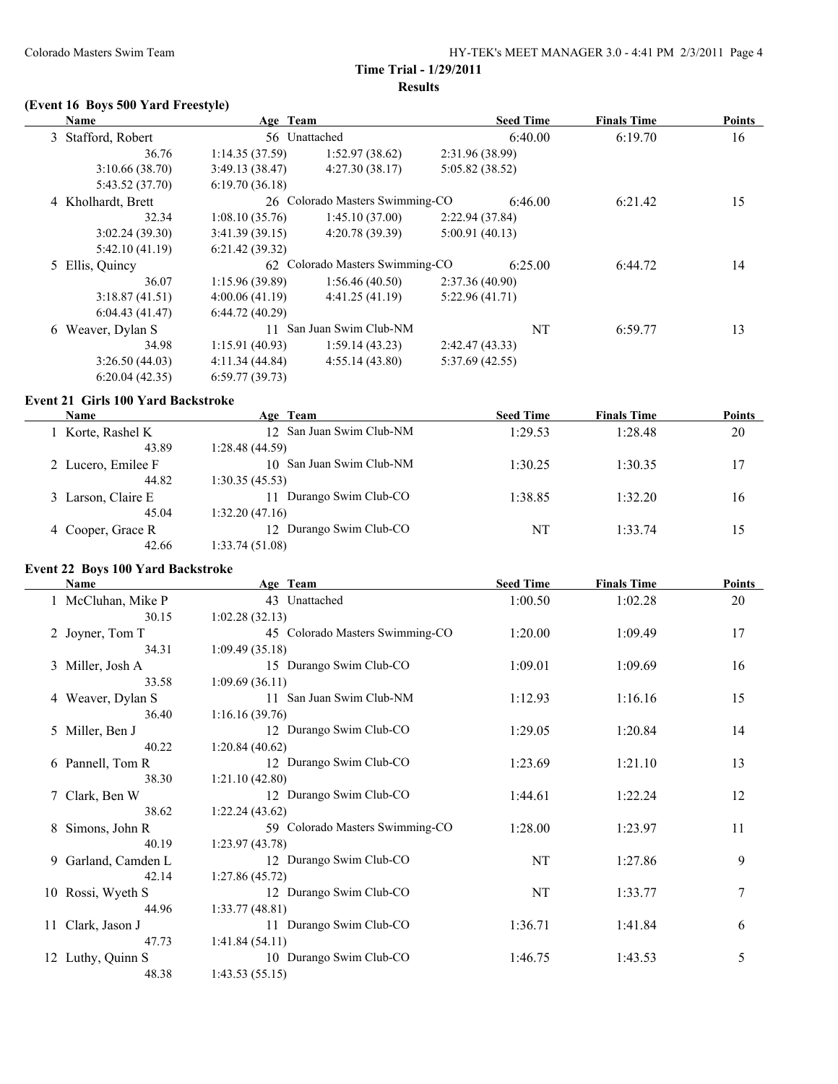# **(Event 16 Boys 500 Yard Freestyle)**

| <b>Name</b>        | Age Team       |                                 |                | <b>Seed Time</b> | <b>Finals Time</b> | <b>Points</b> |
|--------------------|----------------|---------------------------------|----------------|------------------|--------------------|---------------|
| 3 Stafford, Robert | 56 Unattached  |                                 |                | 6:40.00          | 6:19.70            | 16            |
| 36.76              | 1:14.35(37.59) | 1:52.97(38.62)                  | 2:31.96(38.99) |                  |                    |               |
| 3:10.66(38.70)     | 3:49.13(38.47) | 4:27.30(38.17)                  | 5:05.82(38.52) |                  |                    |               |
| 5:43.52 (37.70)    | 6:19.70(36.18) |                                 |                |                  |                    |               |
| 4 Kholhardt, Brett |                | 26 Colorado Masters Swimming-CO |                | 6:46.00          | 6:21.42            | 15            |
| 32.34              | 1:08.10(35.76) | 1:45.10(37.00)                  | 2:22.94(37.84) |                  |                    |               |
| 3:02.24(39.30)     | 3:41.39(39.15) | 4:20.78(39.39)                  | 5:00.91(40.13) |                  |                    |               |
| 5:42.10(41.19)     | 6:21.42(39.32) |                                 |                |                  |                    |               |
| 5 Ellis, Quincy    |                | 62 Colorado Masters Swimming-CO |                | 6:25.00          | 6:44.72            | 14            |
| 36.07              | 1:15.96(39.89) | 1:56.46(40.50)                  | 2:37.36(40.90) |                  |                    |               |
| 3:18.87(41.51)     | 4:00.06(41.19) | 4:41.25(41.19)                  | 5:22.96(41.71) |                  |                    |               |
| 6:04.43(41.47)     | 6:44.72(40.29) |                                 |                |                  |                    |               |
| 6 Weaver, Dylan S  | 11             | San Juan Swim Club-NM           |                | NT               | 6:59.77            | 13            |
| 34.98              | 1:15.91(40.93) | 1:59.14(43.23)                  | 2:42.47(43.33) |                  |                    |               |
| 3:26.50(44.03)     | 4:11.34(44.84) | 4:55.14(43.80)                  | 5:37.69(42.55) |                  |                    |               |
| 6:20.04(42.35)     | 6:59.77(39.73) |                                 |                |                  |                    |               |

### **Event 21 Girls 100 Yard Backstroke**

 $\overline{a}$ 

| Name               | Age Team                   | <b>Seed Time</b> | <b>Finals Time</b> | <b>Points</b> |
|--------------------|----------------------------|------------------|--------------------|---------------|
| 1 Korte, Rashel K  | 12 San Juan Swim Club-NM   | 1:29.53          | 1:28.48            | 20            |
| 43.89              | 1:28.48(44.59)             |                  |                    |               |
| 2 Lucero, Emilee F | 10 San Juan Swim Club-NM   | 1:30.25          | 1:30.35            | 17            |
| 44.82              | 1:30.35(45.53)             |                  |                    |               |
| 3 Larson, Claire E | Durango Swim Club-CO<br>11 | 1:38.85          | 1:32.20            | 16            |
| 45.04              | 1:32.20(47.16)             |                  |                    |               |
| 4 Cooper, Grace R  | 12 Durango Swim Club-CO    | NT               | 1:33.74            | 15            |
| 42.66              | 1:33.74(51.08)             |                  |                    |               |

#### **Event 22 Boys 100 Yard Backstroke**

| <b>Name</b>         | Age Team                        | <b>Seed Time</b> | <b>Finals Time</b> | <b>Points</b> |
|---------------------|---------------------------------|------------------|--------------------|---------------|
| 1 McCluhan, Mike P  | 43 Unattached                   | 1:00.50          | 1:02.28            | 20            |
| 30.15               | 1:02.28(32.13)                  |                  |                    |               |
| 2 Joyner, Tom T     | 45 Colorado Masters Swimming-CO | 1:20.00          | 1:09.49            | 17            |
| 34.31               | 1:09.49(35.18)                  |                  |                    |               |
| 3 Miller, Josh A    | 15 Durango Swim Club-CO         | 1:09.01          | 1:09.69            | 16            |
| 33.58               | 1:09.69(36.11)                  |                  |                    |               |
| 4 Weaver, Dylan S   | 11 San Juan Swim Club-NM        | 1:12.93          | 1:16.16            | 15            |
| 36.40               | 1:16.16(39.76)                  |                  |                    |               |
| 5 Miller, Ben J     | 12 Durango Swim Club-CO         | 1:29.05          | 1:20.84            | 14            |
| 40.22               | 1:20.84(40.62)                  |                  |                    |               |
| 6 Pannell, Tom R    | 12 Durango Swim Club-CO         | 1:23.69          | 1:21.10            | 13            |
| 38.30               | 1:21.10(42.80)                  |                  |                    |               |
| 7 Clark, Ben W      | 12 Durango Swim Club-CO         | 1:44.61          | 1:22.24            | 12            |
| 38.62               | 1:22.24(43.62)                  |                  |                    |               |
| 8 Simons, John R    | 59 Colorado Masters Swimming-CO | 1:28.00          | 1:23.97            | 11            |
| 40.19               | 1:23.97(43.78)                  |                  |                    |               |
| 9 Garland, Camden L | 12 Durango Swim Club-CO         | NT               | 1:27.86            | 9             |
| 42.14               | 1:27.86(45.72)                  |                  |                    |               |
| 10 Rossi, Wyeth S   | 12 Durango Swim Club-CO         | NT               | 1:33.77            | 7             |
| 44.96               | 1:33.77(48.81)                  |                  |                    |               |
| 11 Clark, Jason J   | 11 Durango Swim Club-CO         | 1:36.71          | 1:41.84            | 6             |
| 47.73               | 1:41.84(54.11)                  |                  |                    |               |
| 12 Luthy, Quinn S   | 10 Durango Swim Club-CO         | 1:46.75          | 1:43.53            | 5             |
| 48.38               | 1:43.53(55.15)                  |                  |                    |               |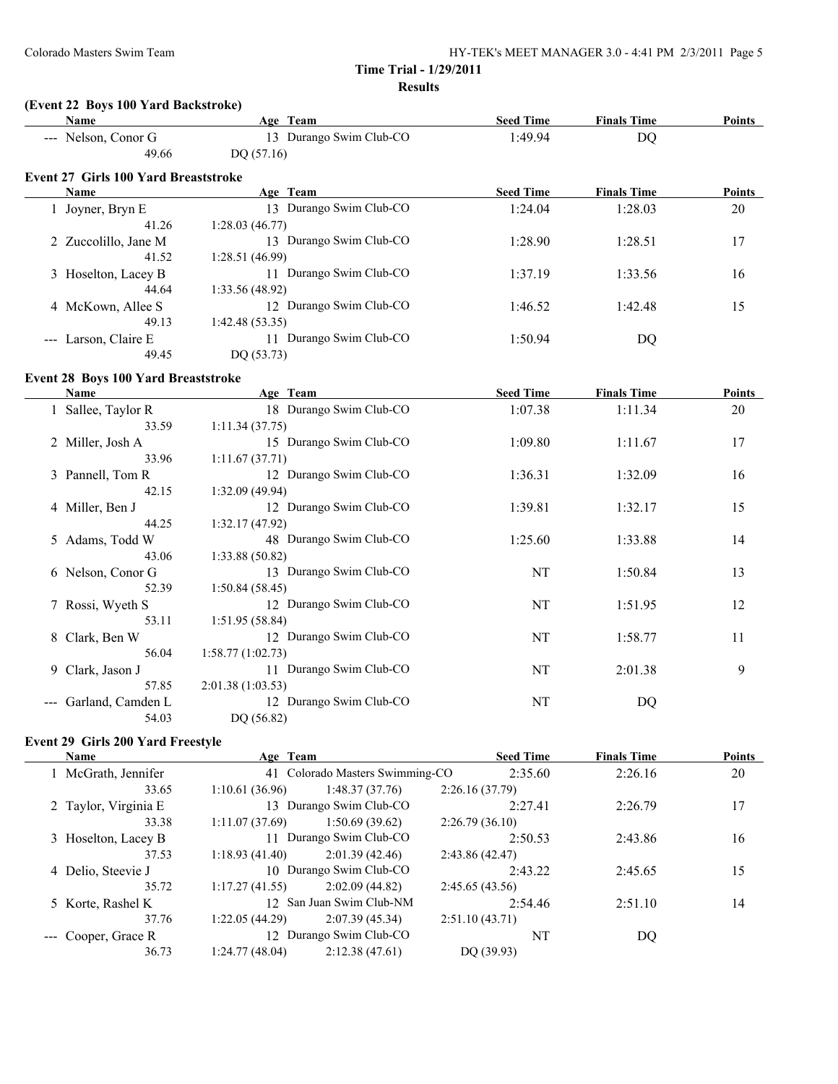# **(Event 22 Boys 100 Yard Backstroke)**

| Name                                        | Age Team                                        | <b>Seed Time</b>          | <b>Finals Time</b> | Points |  |
|---------------------------------------------|-------------------------------------------------|---------------------------|--------------------|--------|--|
| --- Nelson, Conor G                         | 13 Durango Swim Club-CO                         | 1:49.94                   | <b>DQ</b>          |        |  |
| 49.66                                       | DQ (57.16)                                      |                           |                    |        |  |
| <b>Event 27 Girls 100 Yard Breaststroke</b> |                                                 |                           |                    |        |  |
| Name                                        | Age Team                                        | <b>Seed Time</b>          | <b>Finals Time</b> | Points |  |
| 1 Joyner, Bryn E                            | 13 Durango Swim Club-CO                         | 1:24.04                   | 1:28.03            | 20     |  |
| 41.26                                       | 1:28.03(46.77)                                  |                           |                    |        |  |
| 2 Zuccolillo, Jane M                        | 13 Durango Swim Club-CO                         | 1:28.90                   | 1:28.51            | 17     |  |
| 41.52                                       | 1:28.51 (46.99)                                 |                           |                    |        |  |
| 3 Hoselton, Lacey B                         | 11 Durango Swim Club-CO                         | 1:37.19                   | 1:33.56            | 16     |  |
| 44.64                                       | 1:33.56 (48.92)                                 |                           |                    |        |  |
| 4 McKown, Allee S                           | 12 Durango Swim Club-CO                         | 1:46.52                   | 1:42.48            | 15     |  |
| 49.13                                       | 1:42.48(53.35)                                  |                           |                    |        |  |
| --- Larson, Claire E                        | 11 Durango Swim Club-CO                         | 1:50.94                   | DQ                 |        |  |
| 49.45                                       | DQ (53.73)                                      |                           |                    |        |  |
| Event 28 Boys 100 Yard Breaststroke         |                                                 |                           |                    |        |  |
| Name                                        | Age Team                                        | <b>Seed Time</b>          | <b>Finals Time</b> | Points |  |
| 1 Sallee, Taylor R                          | 18 Durango Swim Club-CO                         | 1:07.38                   | 1:11.34            | 20     |  |
| 33.59                                       | 1:11.34(37.75)                                  |                           |                    |        |  |
| 2 Miller, Josh A                            | 15 Durango Swim Club-CO                         | 1:09.80                   | 1:11.67            | 17     |  |
| 33.96                                       | 1:11.67(37.71)                                  |                           |                    |        |  |
| 3 Pannell, Tom R                            | 12 Durango Swim Club-CO                         | 1:36.31                   | 1:32.09            | 16     |  |
| 42.15                                       | 1:32.09 (49.94)                                 |                           |                    |        |  |
| 4 Miller, Ben J                             | 12 Durango Swim Club-CO                         | 1:39.81                   | 1:32.17            | 15     |  |
| 44.25                                       | 1:32.17 (47.92)                                 |                           |                    |        |  |
| 5 Adams, Todd W                             | 48 Durango Swim Club-CO                         | 1:25.60                   | 1:33.88            | 14     |  |
| 43.06                                       | 1:33.88(50.82)                                  |                           |                    |        |  |
| 6 Nelson, Conor G                           | 13 Durango Swim Club-CO                         | NT                        | 1:50.84            | 13     |  |
| 52.39                                       | 1:50.84(58.45)                                  |                           |                    |        |  |
| 7 Rossi, Wyeth S                            | 12 Durango Swim Club-CO                         | NT                        | 1:51.95            | 12     |  |
| 53.11                                       | 1:51.95 (58.84)                                 |                           |                    |        |  |
| 8 Clark, Ben W                              | 12 Durango Swim Club-CO                         | <b>NT</b>                 | 1:58.77            | 11     |  |
| 56.04                                       | 1:58.77(1:02.73)                                |                           |                    |        |  |
| 9 Clark, Jason J                            | 11 Durango Swim Club-CO                         | NT                        | 2:01.38            | 9      |  |
| 57.85                                       | 2:01.38(1:03.53)                                |                           |                    |        |  |
| --- Garland, Camden L                       | 12 Durango Swim Club-CO                         | NT                        | DQ                 |        |  |
| 54.03                                       | DQ (56.82)                                      |                           |                    |        |  |
|                                             |                                                 |                           |                    |        |  |
| Event 29 Girls 200 Yard Freestyle<br>Name   |                                                 |                           |                    | Points |  |
|                                             | Age Team<br>41 Colorado Masters Swimming-CO     | <b>Seed Time</b>          | <b>Finals Time</b> |        |  |
| 1 McGrath, Jennifer<br>33.65                | 1:10.61(36.96)<br>1:48.37(37.76)                | 2:35.60                   | 2:26.16            | 20     |  |
| 2 Taylor, Virginia E                        | 13 Durango Swim Club-CO                         | 2:26.16(37.79)<br>2:27.41 | 2:26.79            | 17     |  |
| 23.38                                       | $1.11 \, 07 \, (37.60)$ $1.50 \, 60 \, (30.62)$ | 2.2679(3610)              |                    |        |  |

| 2 Taylor, Virginia E |                | 13 Durango Swim Club-CO  | 2:27.41        | 2:26.79 | 17 |
|----------------------|----------------|--------------------------|----------------|---------|----|
| 33.38                | 1:11.07(37.69) | 1:50.69(39.62)           | 2:26.79(36.10) |         |    |
| 3 Hoselton, Lacey B  |                | 11 Durango Swim Club-CO  | 2:50.53        | 2:43.86 | 16 |
| 37.53                | 1:18.93(41.40) | 2:01.39(42.46)           | 2:43.86(42.47) |         |    |
| 4 Delio, Steevie J   |                | 10 Durango Swim Club-CO  | 2:43.22        | 2:45.65 | 15 |
| 35.72                | 1:17.27(41.55) | 2:02.09(44.82)           | 2:45.65(43.56) |         |    |
| 5 Korte, Rashel K    |                | 12 San Juan Swim Club-NM | 2:54.46        | 2:51.10 | 14 |
| 37.76                | 1:22.05(44.29) | 2:07.39(45.34)           | 2:51.10(43.71) |         |    |
| --- Cooper, Grace R  |                | 12 Durango Swim Club-CO  | NT             | DO      |    |
| 36.73                | 1:24.77(48.04) | 2:12.38(47.61)           | DQ (39.93)     |         |    |
|                      |                |                          |                |         |    |